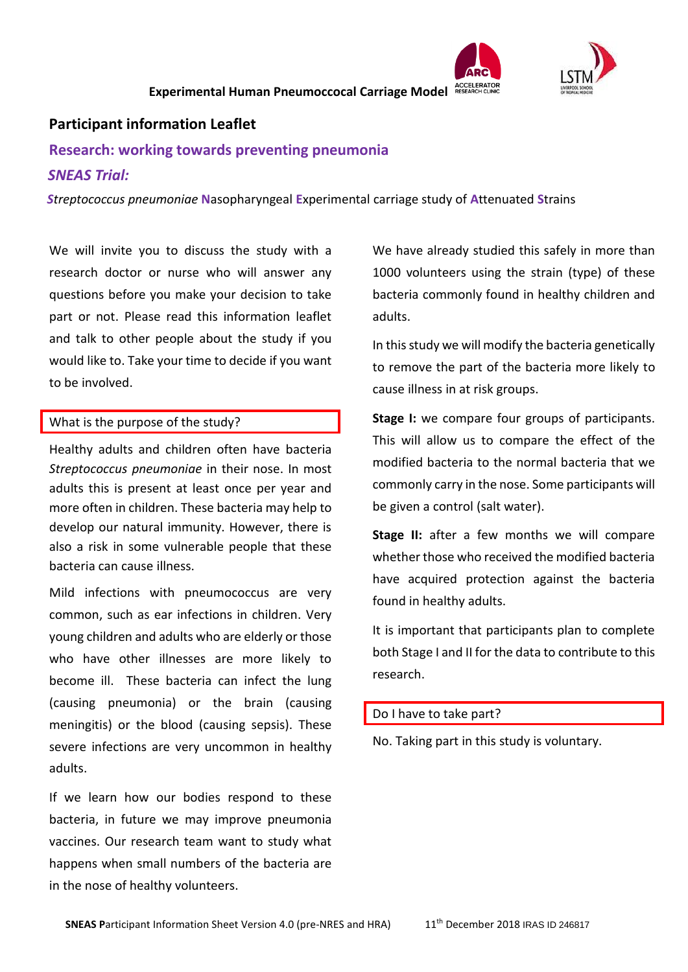



# **Participant information Leaflet**

# **Research: working towards preventing pneumonia**

### *SNEAS Trial:*

 *Streptococcus pneumoniae* **N**asopharyngeal **E**xperimental carriage study of **A**ttenuated **S**trains

We will invite you to discuss the study with a research doctor or nurse who will answer any questions before you make your decision to take part or not. Please read this information leaflet and talk to other people about the study if you would like to. Take your time to decide if you want to be involved.

#### What is the purpose of the study?

Healthy adults and children often have bacteria *Streptococcus pneumoniae* in their nose. In most adults this is present at least once per year and more often in children. These bacteria may help to develop our natural immunity. However, there is also a risk in some vulnerable people that these bacteria can cause illness.

Mild infections with pneumococcus are very common, such as ear infections in children. Very young children and adults who are elderly or those who have other illnesses are more likely to become ill. These bacteria can infect the lung (causing pneumonia) or the brain (causing meningitis) or the blood (causing sepsis). These severe infections are very uncommon in healthy adults.

If we learn how our bodies respond to these bacteria, in future we may improve pneumonia vaccines. Our research team want to study what happens when small numbers of the bacteria are in the nose of healthy volunteers.

We have already studied this safely in more than 1000 volunteers using the strain (type) of these bacteria commonly found in healthy children and adults.

In this study we will modify the bacteria genetically to remove the part of the bacteria more likely to cause illness in at risk groups.

**Stage I:** we compare four groups of participants. This will allow us to compare the effect of the modified bacteria to the normal bacteria that we commonly carry in the nose. Some participants will be given a control (salt water).

**Stage II:** after a few months we will compare whether those who received the modified bacteria have acquired protection against the bacteria found in healthy adults.

It is important that participants plan to complete both Stage I and II for the data to contribute to this research.

#### Do I have to take part?

No. Taking part in this study is voluntary.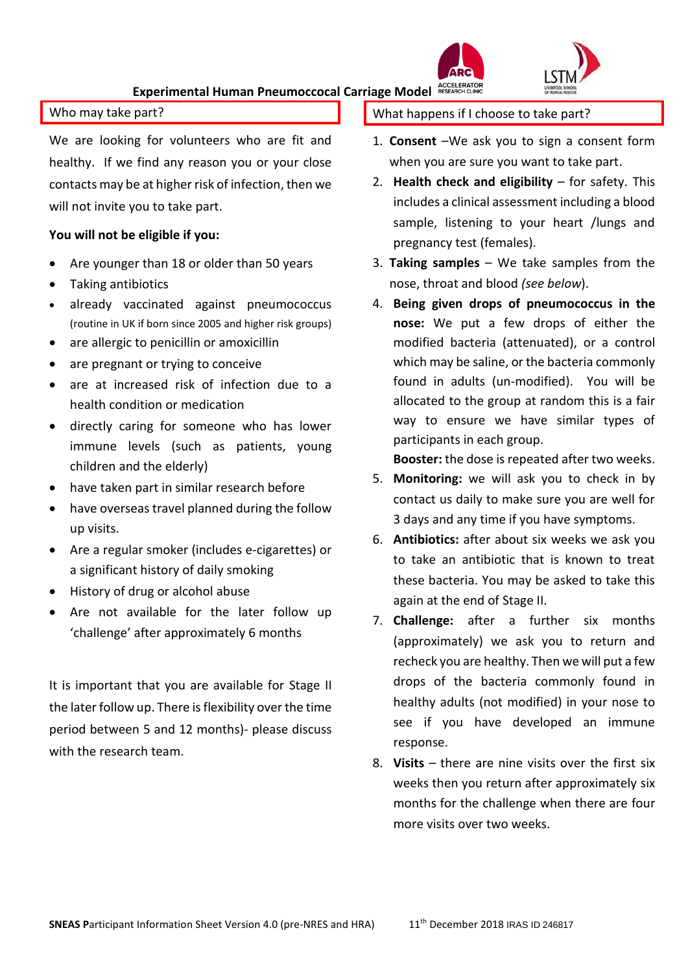#### Who may take part?

We are looking for volunteers who are fit and healthy. If we find any reason you or your close contacts may be at higher risk of infection, then we will not invite you to take part.

#### **You will not be eligible if you:**

- Are younger than 18 or older than 50 years
- Taking antibiotics
- already vaccinated against pneumococcus (routine in UK if born since 2005 and higher risk groups)
- are allergic to penicillin or amoxicillin
- are pregnant or trying to conceive
- are at increased risk of infection due to a health condition or medication
- directly caring for someone who has lower immune levels (such as patients, young children and the elderly)
- have taken part in similar research before
- have overseas travel planned during the follow up visits.
- Are a regular smoker (includes e-cigarettes) or a significant history of daily smoking
- History of drug or alcohol abuse
- Are not available for the later follow up 'challenge' after approximately 6 months

It is important that you are available for Stage II the later follow up. There is flexibility over the time period between 5 and 12 months)- please discuss with the research team.

What happens if I choose to take part?

- 1. **Consent** –We ask you to sign a consent form when you are sure you want to take part.
- 2. **Health check and eligibility** for safety. This includes a clinical assessment including a blood sample, listening to your heart /lungs and pregnancy test (females).
- 3. **Taking samples**  We take samples from the nose, throat and blood *(see below*).
- 4. **Being given drops of pneumococcus in the nose:** We put a few drops of either the modified bacteria (attenuated), or a control which may be saline, or the bacteria commonly found in adults (un-modified). You will be allocated to the group at random this is a fair way to ensure we have similar types of participants in each group.

**Booster:** the dose is repeated after two weeks.

- 5. **Monitoring:** we will ask you to check in by contact us daily to make sure you are well for 3 days and any time if you have symptoms.
- 6. **Antibiotics:** after about six weeks we ask you to take an antibiotic that is known to treat these bacteria. You may be asked to take this again at the end of Stage II.
- 7. **Challenge:** after a further six months (approximately) we ask you to return and recheck you are healthy. Then we will put a few drops of the bacteria commonly found in healthy adults (not modified) in your nose to see if you have developed an immune response.
- 8. **Visits** there are nine visits over the first six weeks then you return after approximately six months for the challenge when there are four more visits over two weeks.

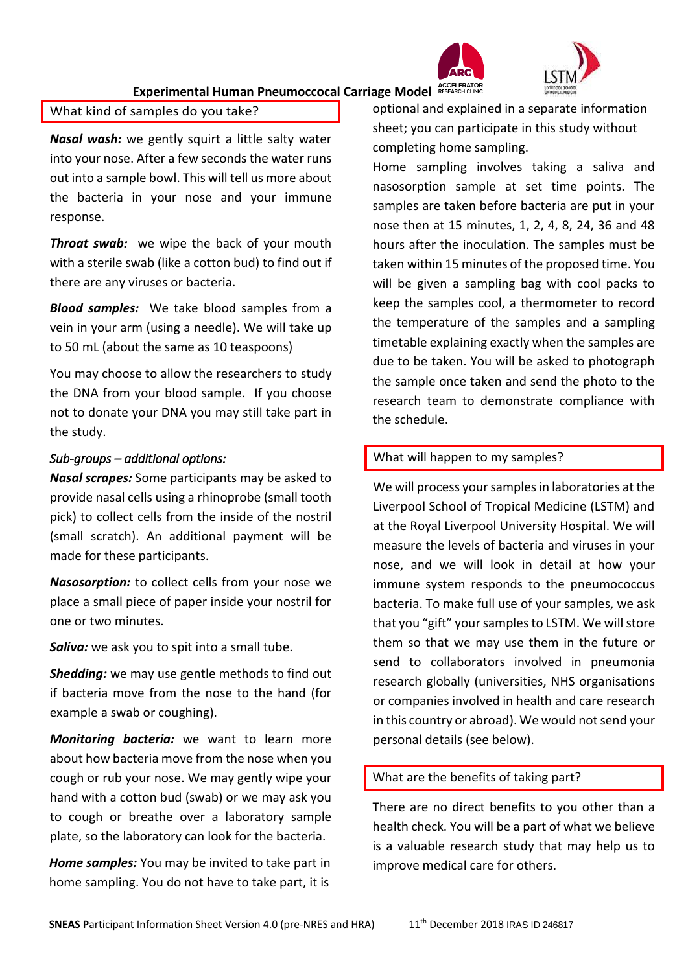

# Experimental Human Pneumoccocal Carriage Model ACCELERATOR

### What kind of samples do you take?

*Nasal wash:* we gently squirt a little salty water into your nose. After a few seconds the water runs out into a sample bowl. This will tell us more about the bacteria in your nose and your immune response.

**Throat swab:** we wipe the back of your mouth with a sterile swab (like a cotton bud) to find out if there are any viruses or bacteria.

*Blood samples:* We take blood samples from a vein in your arm (using a needle). We will take up to 50 mL (about the same as 10 teaspoons)

You may choose to allow the researchers to study the DNA from your blood sample. If you choose not to donate your DNA you may still take part in the study.

## *Sub-groups – additional options:*

*Nasal scrapes:* Some participants may be asked to provide nasal cells using a rhinoprobe (small tooth pick) to collect cells from the inside of the nostril (small scratch). An additional payment will be made for these participants.

*Nasosorption:* to collect cells from your nose we place a small piece of paper inside your nostril for one or two minutes.

*Saliva:* we ask you to spit into a small tube.

*Shedding:* we may use gentle methods to find out if bacteria move from the nose to the hand (for example a swab or coughing).

*Monitoring bacteria:* we want to learn more about how bacteria move from the nose when you cough or rub your nose. We may gently wipe your hand with a cotton bud (swab) or we may ask you to cough or breathe over a laboratory sample plate, so the laboratory can look for the bacteria.

*Home samples:* You may be invited to take part in home sampling. You do not have to take part, it is

optional and explained in a separate information sheet; you can participate in this study without completing home sampling.

Home sampling involves taking a saliva and nasosorption sample at set time points. The samples are taken before bacteria are put in your nose then at 15 minutes, 1, 2, 4, 8, 24, 36 and 48 hours after the inoculation. The samples must be taken within 15 minutes of the proposed time. You will be given a sampling bag with cool packs to keep the samples cool, a thermometer to record the temperature of the samples and a sampling timetable explaining exactly when the samples are due to be taken. You will be asked to photograph the sample once taken and send the photo to the research team to demonstrate compliance with the schedule.

# What will happen to my samples?

We will process your samples in laboratories at the Liverpool School of Tropical Medicine (LSTM) and at the Royal Liverpool University Hospital. We will measure the levels of bacteria and viruses in your nose, and we will look in detail at how your immune system responds to the pneumococcus bacteria. To make full use of your samples, we ask that you "gift" your samples to LSTM. We will store them so that we may use them in the future or send to collaborators involved in pneumonia research globally (universities, NHS organisations or companies involved in health and care research in this country or abroad). We would not send your personal details (see below).

# What are the benefits of taking part?

There are no direct benefits to you other than a health check. You will be a part of what we believe is a valuable research study that may help us to improve medical care for others.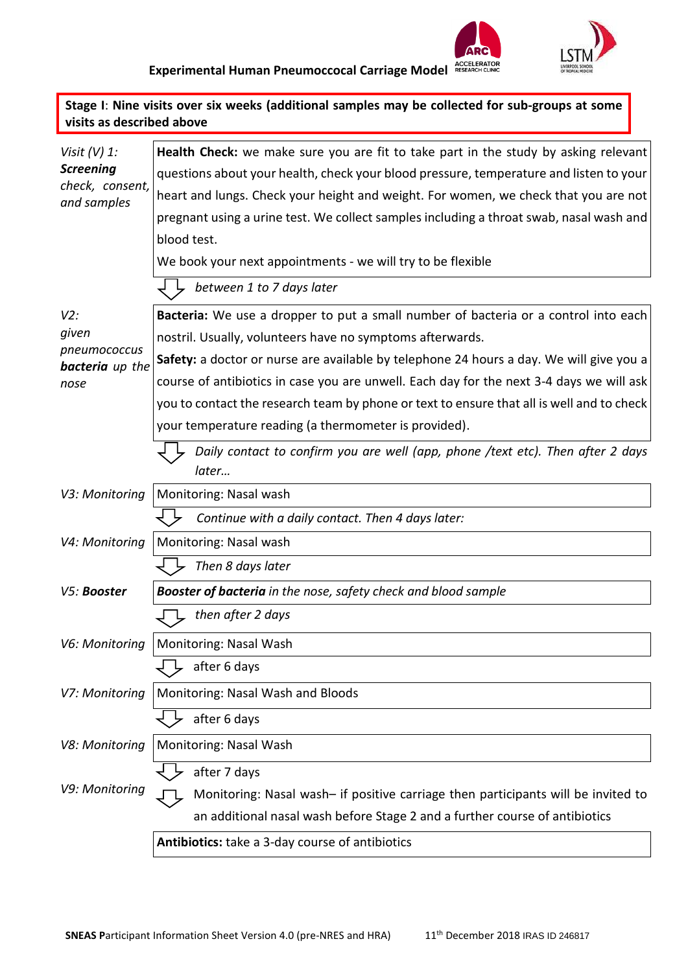

| visits as described above                          | Stage I: Nine visits over six weeks (additional samples may be collected for sub-groups at some |
|----------------------------------------------------|-------------------------------------------------------------------------------------------------|
| Visit $(V)$ 1:                                     | Health Check: we make sure you are fit to take part in the study by asking relevant             |
| <b>Screening</b><br>check, consent,<br>and samples | questions about your health, check your blood pressure, temperature and listen to your          |
|                                                    | heart and lungs. Check your height and weight. For women, we check that you are not             |
|                                                    | pregnant using a urine test. We collect samples including a throat swab, nasal wash and         |
|                                                    | blood test.                                                                                     |
|                                                    | We book your next appointments - we will try to be flexible                                     |
|                                                    | between 1 to 7 days later                                                                       |
| V2:                                                | Bacteria: We use a dropper to put a small number of bacteria or a control into each             |
| given<br>pneumococcus                              | nostril. Usually, volunteers have no symptoms afterwards.                                       |
| <b>bacteria</b> up the                             | Safety: a doctor or nurse are available by telephone 24 hours a day. We will give you a         |
| nose                                               | course of antibiotics in case you are unwell. Each day for the next 3-4 days we will ask        |
|                                                    | you to contact the research team by phone or text to ensure that all is well and to check       |
|                                                    | your temperature reading (a thermometer is provided).                                           |
|                                                    | Daily contact to confirm you are well (app, phone /text etc). Then after 2 days<br>later        |
| V3: Monitoring                                     | Monitoring: Nasal wash                                                                          |
|                                                    | Continue with a daily contact. Then 4 days later:                                               |
| V4: Monitoring                                     | Monitoring: Nasal wash                                                                          |
|                                                    | Then 8 days later                                                                               |
| V5: Booster                                        | <b>Booster of bacteria</b> in the nose, safety check and blood sample                           |
|                                                    | $\Box$ then after 2 days                                                                        |
| V6: Monitoring                                     | Monitoring: Nasal Wash                                                                          |
|                                                    | after 6 days                                                                                    |
| V7: Monitoring                                     | Monitoring: Nasal Wash and Bloods                                                               |
|                                                    | after 6 days                                                                                    |
| V8: Monitoring                                     | Monitoring: Nasal Wash                                                                          |
|                                                    | after 7 days                                                                                    |
| V9: Monitoring                                     | Monitoring: Nasal wash- if positive carriage then participants will be invited to               |
|                                                    | an additional nasal wash before Stage 2 and a further course of antibiotics                     |
|                                                    | Antibiotics: take a 3-day course of antibiotics                                                 |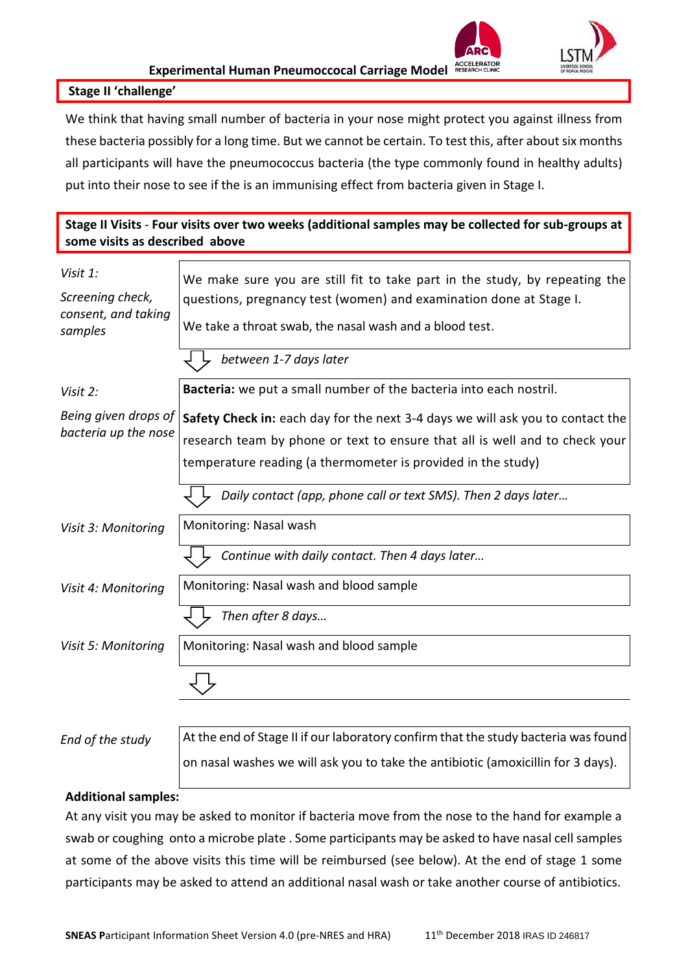

#### **Stage II 'challenge'**

We think that having small number of bacteria in your nose might protect you against illness from these bacteria possibly for a long time. But we cannot be certain. To test this, after about six months all participants will have the pneumococcus bacteria (the type commonly found in healthy adults) put into their nose to see if the is an immunising effect from bacteria given in Stage I.

## **Stage II Visits** - **Four visits over two weeks (additional samples may be collected for sub-groups at some visits as described above**

| Visit 1:<br>Screening check,<br>consent, and taking<br>samples | We make sure you are still fit to take part in the study, by repeating the<br>questions, pregnancy test (women) and examination done at Stage I.<br>We take a throat swab, the nasal wash and a blood test.                   |  |  |  |  |  |
|----------------------------------------------------------------|-------------------------------------------------------------------------------------------------------------------------------------------------------------------------------------------------------------------------------|--|--|--|--|--|
|                                                                | between 1-7 days later                                                                                                                                                                                                        |  |  |  |  |  |
| Visit 2:                                                       | Bacteria: we put a small number of the bacteria into each nostril.                                                                                                                                                            |  |  |  |  |  |
| Being given drops of<br>bacteria up the nose                   | Safety Check in: each day for the next 3-4 days we will ask you to contact the<br>research team by phone or text to ensure that all is well and to check your<br>temperature reading (a thermometer is provided in the study) |  |  |  |  |  |
|                                                                | Daily contact (app, phone call or text SMS). Then 2 days later                                                                                                                                                                |  |  |  |  |  |
| Visit 3: Monitoring                                            | Monitoring: Nasal wash                                                                                                                                                                                                        |  |  |  |  |  |
|                                                                | Continue with daily contact. Then 4 days later                                                                                                                                                                                |  |  |  |  |  |
| Visit 4: Monitoring                                            | Monitoring: Nasal wash and blood sample                                                                                                                                                                                       |  |  |  |  |  |
|                                                                | Then after 8 days                                                                                                                                                                                                             |  |  |  |  |  |
| Visit 5: Monitoring                                            | Monitoring: Nasal wash and blood sample                                                                                                                                                                                       |  |  |  |  |  |
|                                                                |                                                                                                                                                                                                                               |  |  |  |  |  |
| End of the study                                               | At the end of Stage II if our laboratory confirm that the study bacteria was found                                                                                                                                            |  |  |  |  |  |

on nasal washes we will ask you to take the antibiotic (amoxicillin for 3 days).

#### **Additional samples:**

At any visit you may be asked to monitor if bacteria move from the nose to the hand for example a swab or coughing onto a microbe plate . Some participants may be asked to have nasal cell samples at some of the above visits this time will be reimbursed (see below). At the end of stage 1 some participants may be asked to attend an additional nasal wash or take another course of antibiotics.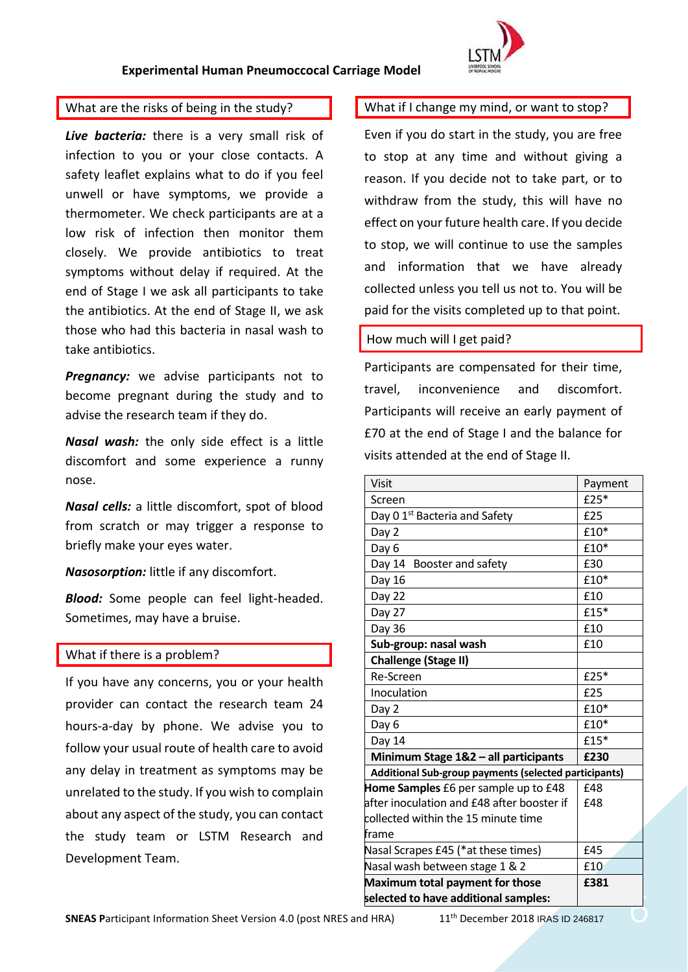

#### What are the risks of being in the study?

*Live bacteria:* there is a very small risk of infection to you or your close contacts. A safety leaflet explains what to do if you feel unwell or have symptoms, we provide a thermometer. We check participants are at a low risk of infection then monitor them closely. We provide antibiotics to treat symptoms without delay if required. At the end of Stage I we ask all participants to take the antibiotics. At the end of Stage II, we ask those who had this bacteria in nasal wash to take antibiotics.

**Pregnancy:** we advise participants not to become pregnant during the study and to advise the research team if they do.

*Nasal wash:* the only side effect is a little discomfort and some experience a runny nose.

*Nasal cells:* a little discomfort, spot of blood from scratch or may trigger a response to briefly make your eyes water.

*Nasosorption:* little if any discomfort.

*Blood:* Some people can feel light-headed. Sometimes, may have a bruise.

#### What if there is a problem?

If you have any concerns, you or your health provider can contact the research team 24 hours-a-day by phone. We advise you to follow your usual route of health care to avoid any delay in treatment as symptoms may be unrelated to the study. If you wish to complain about any aspect of the study, you can contact the study team or LSTM Research and Development Team.

#### What if I change my mind, or want to stop?

Even if you do start in the study, you are free to stop at any time and without giving a reason. If you decide not to take part, or to withdraw from the study, this will have no effect on your future health care. If you decide to stop, we will continue to use the samples and information that we have already collected unless you tell us not to. You will be paid for the visits completed up to that point.

#### How much will I get paid?

Participants are compensated for their time, travel, inconvenience and discomfort. Participants will receive an early payment of £70 at the end of Stage I and the balance for visits attended at the end of Stage II.

| Visit                                |                                                       | Payment    |
|--------------------------------------|-------------------------------------------------------|------------|
| Screen                               |                                                       | $£25*$     |
|                                      | Day 0 1 <sup>st</sup> Bacteria and Safety             | £25        |
| Day 2                                |                                                       | £10*       |
| Day 6                                |                                                       | £10*       |
|                                      | Day 14 Booster and safety                             | £30        |
| Day 16                               |                                                       | £10*       |
| Day 22                               |                                                       | £10        |
| Day 27                               |                                                       | £15*       |
| Day 36                               |                                                       | £10        |
|                                      | Sub-group: nasal wash                                 | £10        |
| <b>Challenge (Stage II)</b>          |                                                       |            |
| Re-Screen                            |                                                       | £25*       |
| Inoculation                          |                                                       | £25        |
| Day 2                                |                                                       | £10*       |
| Day 6                                |                                                       | £10*       |
| Day 14                               |                                                       | £15*       |
| Minimum Stage 1&2 - all participants | £230                                                  |            |
|                                      | Additional Sub-group payments (selected participants) |            |
|                                      | Home Samples £6 per sample up to £48                  | £48        |
|                                      | after inoculation and £48 after booster if            | <b>f48</b> |
|                                      | collected within the 15 minute time                   |            |
| frame                                |                                                       |            |
| Nasal Scrapes £45 (*at these times)  |                                                       | £45        |
| Nasal wash between stage 1 & 2       |                                                       | £10        |
| Maximum total payment for those      |                                                       | £381       |
| selected to have additional samples: |                                                       |            |
| d HRA)                               | 11 <sup>th</sup> December 2018 IRAS ID 246817         |            |
|                                      |                                                       |            |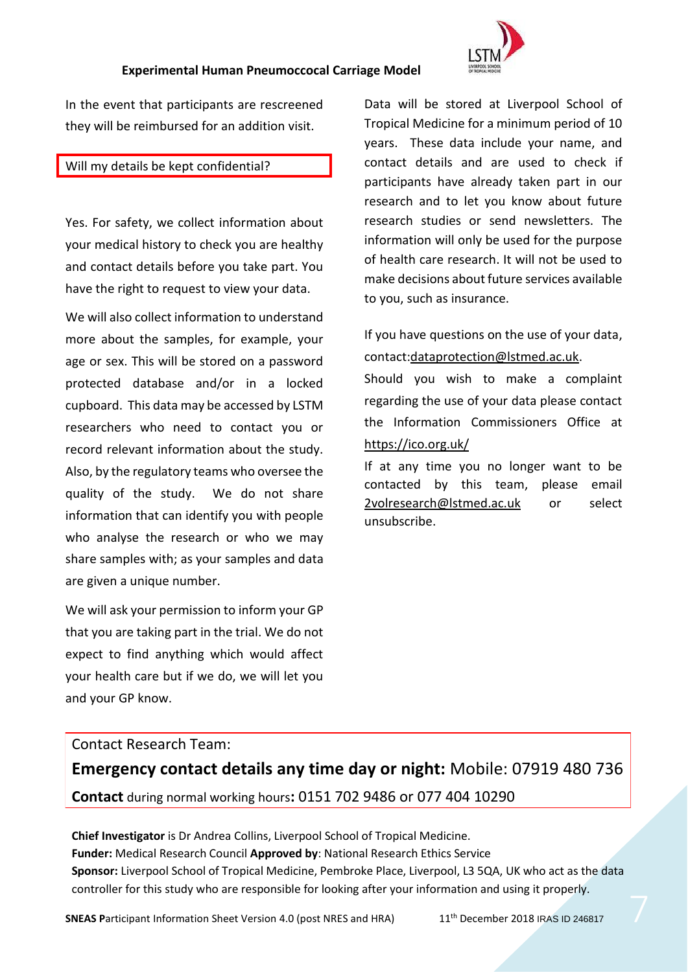

In the event that participants are rescreened they will be reimbursed for an addition visit.

#### Will my details be kept confidential?

Yes. For safety, we collect information about your medical history to check you are healthy and contact details before you take part. You have the right to request to view your data.

We will also collect information to understand more about the samples, for example, your age or sex. This will be stored on a password protected database and/or in a locked cupboard. This data may be accessed by LSTM researchers who need to contact you or record relevant information about the study. Also, by the regulatory teams who oversee the quality of the study. We do not share information that can identify you with people who analyse the research or who we may share samples with; as your samples and data are given a unique number.

We will ask your permission to inform your GP that you are taking part in the trial. We do not expect to find anything which would affect your health care but if we do, we will let you and your GP know.

Data will be stored at Liverpool School of Tropical Medicine for a minimum period of 10 years. These data include your name, and contact details and are used to check if participants have already taken part in our research and to let you know about future research studies or send newsletters. The information will only be used for the purpose of health care research. It will not be used to make decisions about future services available to you, such as insurance.

If you have questions on the use of your data, contact[:dataprotection@lstmed.ac.uk.](mailto:dataprotection@lstmed.ac.uk)

Should you wish to make a complaint regarding the use of your data please contact the Information Commissioners Office at <https://ico.org.uk/>

If at any time you no longer want to be contacted by this team, please email 2volresearch@lstmed.ac.uk or select unsubscribe.

#### Contact Research Team:

**Emergency contact details any time day or night:** Mobile: 07919 480 736 **Contact** during normal working hours**:** 0151 702 9486 or 077 404 10290

**Chief Investigator** is Dr Andrea Collins, Liverpool School of Tropical Medicine. **Funder:** Medical Research Council **Approved by**: National Research Ethics Service **Sponsor:** Liverpool School of Tropical Medicine, Pembroke Place, Liverpool, L3 5QA, UK who act as the data controller for this study who are responsible for looking after your information and using it properly.

**SNEAS Participant Information Sheet Version 4.0 (post NRES and HRA) 11<sup>th</sup> December 2018 IRAS ID 246817**